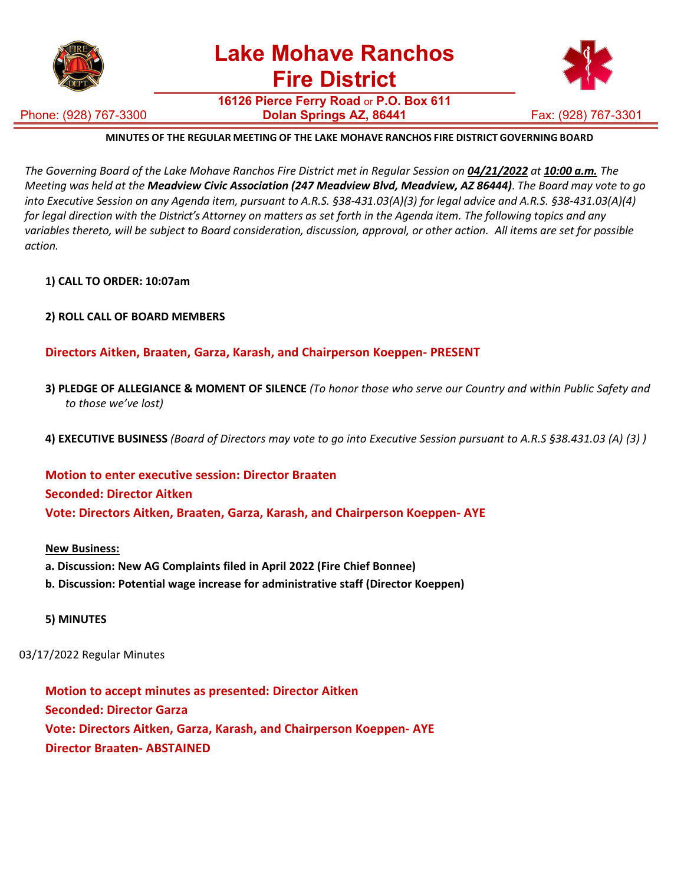

**16126 Pierce Ferry Road** or **P.O. Box 611 Dolan Springs AZ, 86441 Fax: (928) 767-3301** 

Phone: (928) 767-3300



## **MINUTES OF THE REGULAR MEETING OF THE LAKE MOHAVE RANCHOS FIRE DISTRICT GOVERNING BOARD**

The Governing Board of the Lake Mohave Ranchos Fire District met in Regular Session on 04/21/2022 at 10:00 a.m. The Meeting was held at the Meadview Civic Association (247 Meadview Blvd, Meadview, AZ 86444). The Board may vote to go into Executive Session on any Agenda item, pursuant to A.R.S. §38-431.03(A)(3) for legal advice and A.R.S. §38-431.03(A)(4) for legal direction with the District's Attorney on matters as set forth in the Agenda item. The following topics and any variables thereto, will be subject to Board consideration, discussion, approval, or other action. All items are set for possible *action.*

- **1) CALL TO ORDER: 10:07am**
- **2) ROLL CALL OF BOARD MEMBERS**

### **Directors Aitken, Braaten, Garza, Karash, and Chairperson Koeppen- PRESENT**

- 3) PLEDGE OF ALLEGIANCE & MOMENT OF SILENCE (To honor those who serve our Country and within Public Safety and *to those we've lost)*
- 4) EXECUTIVE BUSINESS (Board of Directors may vote to go into Executive Session pursuant to A.R.S §38.431.03 (A) (3))

**Motion to enter executive session: Director Braaten Seconded: Director Aitken Vote: Directors Aitken, Braaten, Garza, Karash, and Chairperson Koeppen- AYE**

#### **New Business:**

- **a. Discussion: New AG Complaints filed in April 2022 (Fire Chief Bonnee)**
- **b. Discussion: Potential wage increase for administrative staff (Director Koeppen)**
- **5) MINUTES**

03/17/2022 Regular Minutes

**Motion to accept minutes as presented: Director Aitken Seconded: Director Garza Vote: Directors Aitken, Garza, Karash, and Chairperson Koeppen- AYE Director Braaten- ABSTAINED**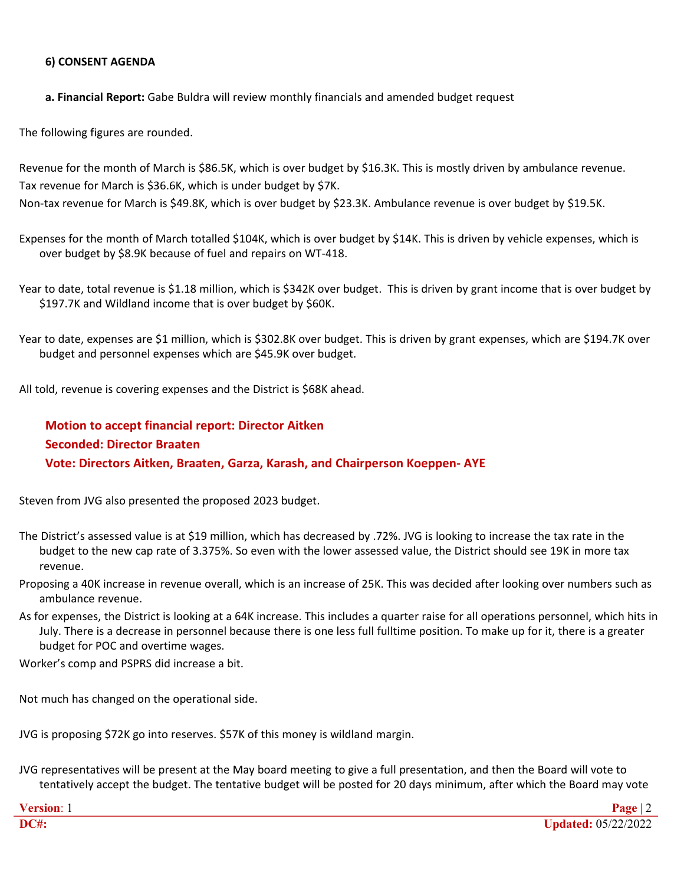#### **6) CONSENT AGENDA**

**a. Financial Report:** Gabe Buldra will review monthly financials and amended budget request

The following figures are rounded.

Revenue for the month of March is \$86.5K, which is over budget by \$16.3K. This is mostly driven by ambulance revenue. Tax revenue for March is \$36.6K, which is under budget by \$7K. Non-tax revenue for March is \$49.8K, which is over budget by \$23.3K. Ambulance revenue is over budget by \$19.5K.

Expenses for the month of March totalled \$104K, which is over budget by \$14K. This is driven by vehicle expenses, which is over budget by \$8.9K because of fuel and repairs on WT-418.

Year to date, total revenue is \$1.18 million, which is \$342K over budget. This is driven by grantincome that is over budget by \$197.7K and Wildland income that is over budget by \$60K.

Year to date, expenses are \$1 million, which is \$302.8K over budget. This is driven by grant expenses, which are \$194.7K over budget and personnel expenses which are \$45.9K over budget.

All told, revenue is covering expenses and the District is \$68K ahead.

# **Motion to accept financial report: Director Aitken Seconded: Director Braaten Vote: Directors Aitken, Braaten, Garza, Karash, and Chairperson Koeppen- AYE**

Steven from JVG also presented the proposed 2023 budget.

- The District's assessed value is at \$19 million, which has decreased by .72%. JVG is looking to increase the tax rate in the budget to the new cap rate of 3.375%. So even with the lower assessed value, the District should see 19K in more tax revenue.
- Proposing a 40K increase in revenue overall, which is an increase of 25K. This was decided after looking over numbers such as ambulance revenue.
- As for expenses, the District is looking at a 64K increase. This includes a quarter raise for all operations personnel, which hits in July. There is a decrease in personnel because there is one less full fulltime position. To make up for it, there is a greater budget for POC and overtime wages.

Worker's comp and PSPRS did increase a bit.

Not much has changed on the operational side.

JVG is proposing \$72K go into reserves. \$57K of this money is wildland margin.

JVG representatives will be present at the May board meeting to give a full presentation, and then the Board will vote to tentatively accept the budget. The tentative budget will be posted for 20 days minimum, after which the Board may vote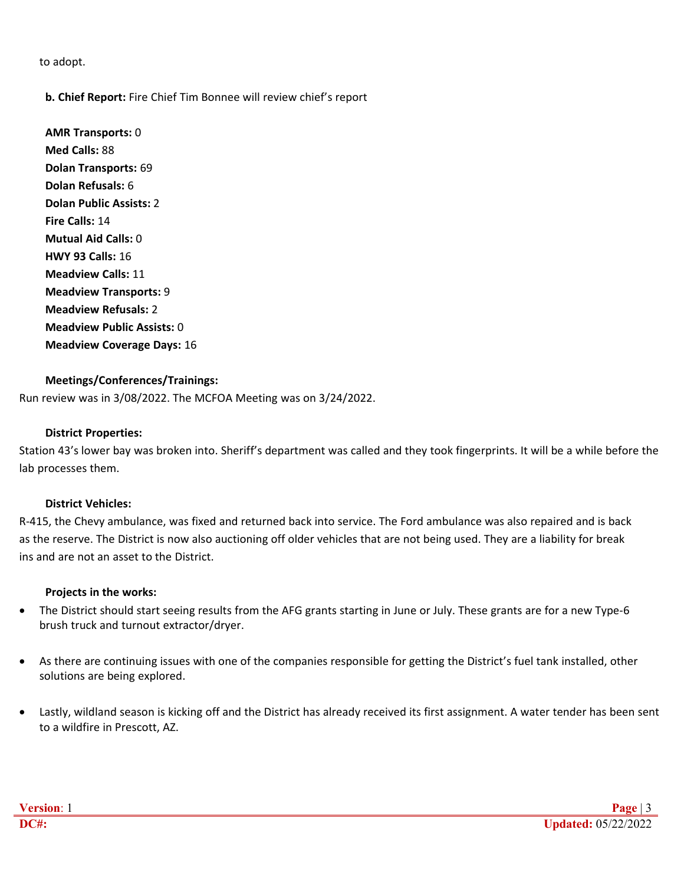to adopt.

## **b. Chief Report:** Fire Chief Tim Bonnee will review chief's report

**AMR Transports:** 0 **Med Calls:** 88 **Dolan Transports:**69 **Dolan Refusals:** 6 **Dolan Public Assists:** 2 **Fire Calls:** 14 **Mutual Aid Calls:** 0 **HWY 93 Calls:** 16 **Meadview Calls:** 11 **Meadview Transports:** 9 **Meadview Refusals:** 2 **Meadview Public Assists:** 0 **Meadview Coverage Days:** 16

### **Meetings/Conferences/Trainings:**

Run review was in 3/08/2022. The MCFOA Meeting was on 3/24/2022.

#### **District Properties:**

Station 43's lower bay was broken into. Sheriff's department was called and they took fingerprints. It will be a while before the lab processes them.

#### **District Vehicles:**

R-415, the Chevy ambulance, was fixed and returned back into service. The Ford ambulance was also repaired and is back as the reserve. The District is now also auctioning off older vehicles that are not being used. They are a liability for break ins and are not an asset to the District.

#### **Projects in the works:**

- The District should start seeing results from the AFG grants starting in June or July. These grants are for a new Type-6 brush truck and turnout extractor/dryer.
- As there are continuing issues with one of the companies responsible for getting the District's fuel tank installed, other solutions are being explored.
- Lastly, wildland season is kicking off and the District has already received its first assignment. A water tender has been sent to a wildfire in Prescott, AZ.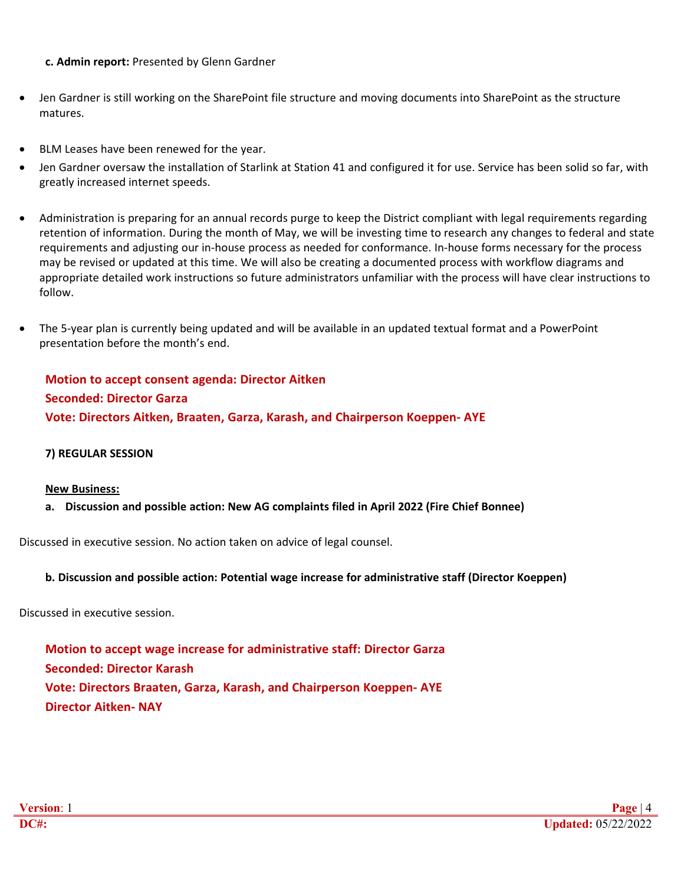### **c. Admin report:** Presented by Glenn Gardner

- Jen Gardner is still working on the SharePoint file structure and moving documents into SharePoint as the structure matures.
- BLM Leases have been renewed for the year.
- Jen Gardner oversaw the installation of Starlink at Station 41 and configured it for use. Service has been solid so far, with greatly increased internet speeds.
- Administration is preparing for an annual records purge to keep the District compliant with legal requirements regarding retention of information. During the month of May, we will be investing time to research any changes to federal and state requirements and adjusting our in-house process as needed for conformance. In-house forms necessary for the process may be revised or updated at this time.We will also be creating a documented process with workflow diagrams and appropriate detailed work instructions so future administrators unfamiliar with the process will have clear instructions to follow.
- The 5-year plan is currently being updated and will be available in an updated textual format and a PowerPoint presentation before the month's end.

# **Motion to accept consent agenda: Director Aitken Seconded: Director Garza Vote: Directors Aitken, Braaten, Garza, Karash, and Chairperson Koeppen- AYE**

#### **7) REGULAR SESSION**

#### **New Business:**

**a. Discussion and possible action: New AG complaints filed in April 2022 (Fire Chief Bonnee)**

Discussed in executive session. No action taken on advice of legal counsel.

#### **b. Discussion and possible action: Potential wage increase for administrative staff (Director Koeppen)**

Discussed in executive session.

**Motion to accept wage increase for administrative staff: Director Garza Seconded: Director Karash Vote: Directors Braaten, Garza, Karash, and Chairperson Koeppen- AYE Director Aitken- NAY**